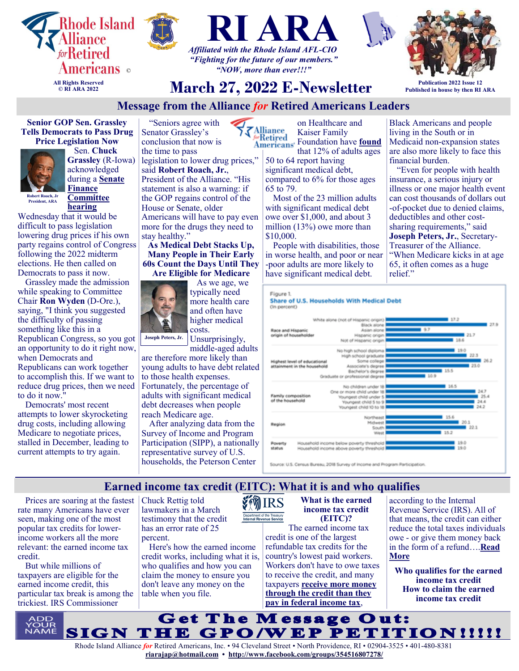





*"Fighting for the future of our members." "NOW, more than ever!!!"*



**Publication 2022 Issue 12 Published in house by then RI ARA**

# **March 27, 2022 E-Newsletter**

# **Message from the Alliance** *for* **Retired Americans Leaders**

**Senior GOP Sen. Grassley Tells Democrats to Pass Drug Price Legislation Now**



 Sen. **Chuck Grassley** (R-Iowa) acknowledged during a **[Senate](https://u1584542.ct.sendgrid.net/ss/c/atcYNHk4Eh2YdGnwBh-YDL0195r-gNaKL0NXw0E6jsY6-Ri8Fk8BWvM_kdMTPswoMOJoXBwMYar-19D4T7LEeTk7wtj-s3ueNRguZLaFkapvUi9H2ol4jzx244i45hHVtTTd53hcw5oEgafBtJ-Z4QAHheMwZYxCD5NmQ64gWBK2PP4zQjJxJIh2I4hcnF6yX0EPtJE2XgGVb-Z5qt3aYsWTSLwk3)  [Finance](https://u1584542.ct.sendgrid.net/ss/c/atcYNHk4Eh2YdGnwBh-YDL0195r-gNaKL0NXw0E6jsY6-Ri8Fk8BWvM_kdMTPswoMOJoXBwMYar-19D4T7LEeTk7wtj-s3ueNRguZLaFkapvUi9H2ol4jzx244i45hHVtTTd53hcw5oEgafBtJ-Z4QAHheMwZYxCD5NmQ64gWBK2PP4zQjJxJIh2I4hcnF6yX0EPtJE2XgGVb-Z5qt3aYsWTSLwk3)  [Committee](https://u1584542.ct.sendgrid.net/ss/c/atcYNHk4Eh2YdGnwBh-YDL0195r-gNaKL0NXw0E6jsY6-Ri8Fk8BWvM_kdMTPswoMOJoXBwMYar-19D4T7LEeTk7wtj-s3ueNRguZLaFkapvUi9H2ol4jzx244i45hHVtTTd53hcw5oEgafBtJ-Z4QAHheMwZYxCD5NmQ64gWBK2PP4zQjJxJIh2I4hcnF6yX0EPtJE2XgGVb-Z5qt3aYsWTSLwk3)  [hearing](https://u1584542.ct.sendgrid.net/ss/c/atcYNHk4Eh2YdGnwBh-YDL0195r-gNaKL0NXw0E6jsY6-Ri8Fk8BWvM_kdMTPswoMOJoXBwMYar-19D4T7LEeTk7wtj-s3ueNRguZLaFkapvUi9H2ol4jzx244i45hHVtTTd53hcw5oEgafBtJ-Z4QAHheMwZYxCD5NmQ64gWBK2PP4zQjJxJIh2I4hcnF6yX0EPtJE2XgGVb-Z5qt3aYsWTSLwk3)**

Wednesday that it would be difficult to pass legislation lowering drug prices if his own party regains control of Congress following the 2022 midterm elections. He then called on Democrats to pass it now.

Grassley made the admission while speaking to Committee Chair **Ron Wyden** (D-Ore.), saying, "I think you suggested the difficulty of passing something like this in a Republican Congress, so you got an opportunity to do it right now, when Democrats and Republicans can work together to accomplish this. If we want to reduce drug prices, then we need to do it now."

Democrats' most recent attempts to lower skyrocketing drug costs, including allowing Medicare to negotiate prices, stalled in December, leading to current attempts to try again.

"Seniors agree with Senator Grassley's conclusion that now is the time to pass legislation to lower drug prices," said **Robert Roach, Jr.**, President of the Alliance. "His statement is also a warning: if the GOP regains control of the House or Senate, older Americans will have to pay even more for the drugs they need to stay healthy."

**As Medical Debt Stacks Up, Many People in Their Early 60s Count the Days Until They Are Eligible for Medicare**



 As we age, we typically need more health care and often have higher medical costs.

Unsurprisingly, middle-aged adults

are therefore more likely than young adults to have debt related to those health expenses. Fortunately, the percentage of adults with significant medical debt decreases when people reach Medicare age.

After analyzing data from the Survey of Income and Program Participation (SIPP), a nationally representative survey of U.S. households, the Peterson Center

on Healthcare and **ZAlliance** Kaiser Family **Americans** Foundation have **[found](https://u1584542.ct.sendgrid.net/ss/c/atcYNHk4Eh2YdGnwBh-YDK3VKYrjwdv6W2GClq5hekJTzCg-TNcu1QuX5w5-q-t07ADqEnj8RYwdf18jaKmBNHgaXBgy76pRxc5knZcuUheid-9bzer-3CkE4i47BYx-JIpgurni9RF75LTiX4QcsWCOEGUPoaZyvsC4klg7jtvYq4WdmckpL7vsR4saahUalJjMcyiJk_AcZUVAo3jjSCkFg8zSZ)** ®Retired that 12% of adults ages 50 to 64 report having significant medical debt,

compared to 6% for those ages 65 to 79.

Most of the 23 million adults with significant medical debt owe over \$1,000, and about 3 million (13%) owe more than \$10,000.

People with disabilities, those in worse health, and poor or near -poor adults are more likely to have significant medical debt.

Black Americans and people living in the South or in Medicaid non-expansion states are also more likely to face this financial burden.

"Even for people with health insurance, a serious injury or illness or one major health event can cost thousands of dollars out -of-pocket due to denied claims, deductibles and other costsharing requirements," said **Joseph Peters, Jr.**, Secretary-Treasurer of the Alliance.

"When Medicare kicks in at age 65, it often comes as a huge relief."



Source: U.S. Census Bureau, 2018 Survey of Income and Program Participation

# **Earned income tax credit (EITC): What it is and who qualifies**

Prices are soaring at the fastest Chuck Rettig told rate many Americans have ever seen, making one of the most popular tax credits for lowerincome workers all the more relevant: the earned income tax credit.

But while millions of taxpayers are eligible for the earned income credit, this particular tax break is among the trickiest. IRS Commissioner

lawmakers in a March testimony that the credit has an error rate of 25 percent.

Here's how the earned income credit works, including what it is, who qualifies and how you can claim the money to ensure you don't leave any money on the table when you file.

IRS

**What is the earned income tax credit (EITC)?** The earned income tax credit is one of the largest refundable tax credits for the country's lowest paid workers. Workers don't have to owe taxes to receive the credit, and many taxpayers **[receive more money](https://www.irs.gov/about-irs/a-closer-look-at-the-earned-income-tax-credit)  [through the credit than they](https://www.irs.gov/about-irs/a-closer-look-at-the-earned-income-tax-credit)  [pay in federal income tax](https://www.irs.gov/about-irs/a-closer-look-at-the-earned-income-tax-credit)**,

according to the Internal Revenue Service (IRS). All of that means, the credit can either reduce the total taxes individuals owe - or give them money back in the form of a refund….**[Read](https://www.msn.com/en-us/money/personalfinance/earned-income-tax-credit-eitc-what-it-is-and-who-qualifies/ar-AAVqRgF?ocid=SK2DDHP)  [More](https://www.msn.com/en-us/money/personalfinance/earned-income-tax-credit-eitc-what-it-is-and-who-qualifies/ar-AAVqRgF?ocid=SK2DDHP)**

**Who qualifies for the earned income tax credit How to claim the earned income tax credit** 

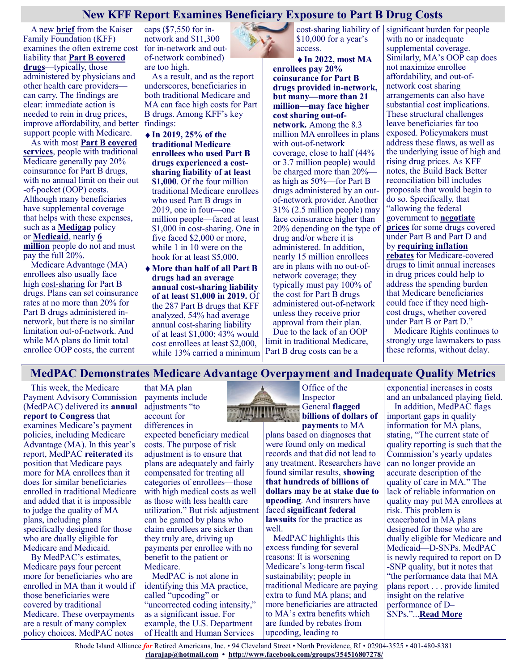## **New KFF Report Examines Beneficiary Exposure to Part B Drug Costs**

A new **[brief](https://www.kff.org/medicare/issue-brief/medicare-part-b-drugs-cost-implications-for-beneficiaries-in-traditional-medicare-and-medicare-advantage/)** from the Kaiser Family Foundation (KFF) examines the often extreme cost liability that **[Part B covered](https://www.medicareinteractive.org/get-answers/medicare-covered-services/medicare-coverage-overview/prescription-drug-coverage-parts-a-b-and-d)  [drugs](https://www.medicareinteractive.org/get-answers/medicare-covered-services/medicare-coverage-overview/prescription-drug-coverage-parts-a-b-and-d)**—typically, those administered by physicians and other health care providers can carry. The findings are clear: immediate action is needed to rein in drug prices, improve affordability, and better support people with Medicare.

As with most **[Part B covered](https://www.medicareinteractive.org/get-answers/medicare-health-coverage-options/original-medicare-costs/part-b-costs)  [services](https://www.medicareinteractive.org/get-answers/medicare-health-coverage-options/original-medicare-costs/part-b-costs)**, people with traditional Medicare generally pay 20% coinsurance for Part B drugs, with no annual limit on their out -of-pocket (OOP) costs. Although many beneficiaries have supplemental coverage that helps with these expenses, such as a **[Medigap](https://www.medicareinteractive.org/get-answers/medicare-health-coverage-options/supplemental-insurance-for-original-medicare-medigaps/medigap-overview)** policy or **[Medicaid](https://www.medicareinteractive.org/get-answers/cost-saving-programs-for-people-with-medicare/medicare-and-medicaid/medicaid-overview)**, nearly **[6](https://www.kff.org/medicare/issue-brief/a-snapshot-of-sources-of-coverage-among-medicare-beneficiaries-in-2018/)  [million](https://www.kff.org/medicare/issue-brief/a-snapshot-of-sources-of-coverage-among-medicare-beneficiaries-in-2018/)** people do not and must pay the full 20%.

Medicare Advantage (MA) enrollees also usually face high cost-[sharing](https://www.medicareinteractive.org/get-answers/medicare-health-coverage-options/medicare-advantage-plan-overview/medicare-advantage-costs-and-coverage) for Part B drugs. Plans can set coinsurance rates at no more than 20% for Part B drugs administered innetwork, but there is no similar limitation out-of-network. And while MA plans do limit total enrollee OOP costs, the current

caps (\$7,550 for innetwork and \$11,300 for in-network and outof-network combined) are too high.

As a result, and as the report underscores, beneficiaries in both traditional Medicare and MA can face high costs for Part B drugs. Among KFF's key findings:

- **In 2019, 25% of the traditional Medicare enrollees who used Part B drugs experienced a costsharing liability of at least \$1,000**. Of the four million traditional Medicare enrollees who used Part B drugs in 2019, one in four—one million people—faced at least \$1,000 in cost-sharing. One in five faced \$2,000 or more, while 1 in 10 were on the hook for at least \$5,000.
- **More than half of all Part B drugs had an average annual cost-sharing liability of at least \$1,000 in 2019.** Of the 287 Part B drugs that KFF analyzed, 54% had average annual cost-sharing liability of at least \$1,000; 43% would cost enrollees at least \$2,000, while 13% carried a minimum

\$10,000 for a year's access.

**In 2022, most MA enrollees pay 20% coinsurance for Part B drugs provided in-network, but many—more than 21 million—may face higher cost sharing out-ofnetwork.** Among the 8.3 million MA enrollees in plans with out-of-network coverage, close to half (44% or 3.7 million people) would be charged more than 20% as high as 50%—for Part B drugs administered by an outof-network provider. Another 31% (2.5 million people) may face coinsurance higher than 20% depending on the type of drug and/or where it is administered. In addition, nearly 15 million enrollees are in plans with no out-ofnetwork coverage; they typically must pay 100% of the cost for Part B drugs administered out-of-network unless they receive prior approval from their plan. Due to the lack of an OOP limit in traditional Medicare, Part B drug costs can be a

 $cost\text{-}sharing$  liability of  $\vert$  significant burden for people with no or inadequate supplemental coverage. Similarly, MA's OOP cap does not maximize enrollee affordability, and out-ofnetwork cost sharing arrangements can also have substantial cost implications. These structural challenges leave beneficiaries far too exposed. Policymakers must address these flaws, as well as the underlying issue of high and rising drug prices. As KFF notes, the Build Back Better reconciliation bill includes proposals that would begin to do so. Specifically, that "allowing the federal government to **[negotiate](https://www.kff.org/medicare/issue-brief/explaining-the-prescription-drug-provisions-in-the-build-back-better-act/#_Allow_the_Federal)  [prices](https://www.kff.org/medicare/issue-brief/explaining-the-prescription-drug-provisions-in-the-build-back-better-act/#_Allow_the_Federal)** for some drugs covered under Part B and Part D and by **[requiring inflation](https://www.kff.org/medicare/issue-brief/explaining-the-prescription-drug-provisions-in-the-build-back-better-act/#_Require_Inflation_Rebates)  [rebates](https://www.kff.org/medicare/issue-brief/explaining-the-prescription-drug-provisions-in-the-build-back-better-act/#_Require_Inflation_Rebates)** for Medicare-covered drugs to limit annual increases in drug prices could help to address the spending burden that Medicare beneficiaries could face if they need highcost drugs, whether covered under Part B or Part D."

> Medicare Rights continues to strongly urge lawmakers to pass these reforms, without delay.

# **MedPAC Demonstrates Medicare Advantage Overpayment and Inadequate Quality Metrics**

This week, the Medicare Payment Advisory Commission (MedPAC) delivered its **[annual](https://www.medpac.gov/wp-content/uploads/2022/03/Mar22_MedPAC_ReportToCongress_SEC.pdf)  [report to Congress](https://www.medpac.gov/wp-content/uploads/2022/03/Mar22_MedPAC_ReportToCongress_SEC.pdf)** that examines Medicare's payment policies, including Medicare Advantage (MA). In this year's report, MedPAC **[reiterated](https://www.medicarerights.org/medicare-watch/2021/03/11/medpac-reiterates-position-that-ma-plans-cost-more-responds-to-criticism)** its position that Medicare pays more for MA enrollees than it does for similar beneficiaries enrolled in traditional Medicare and added that it is impossible to judge the quality of MA plans, including plans specifically designed for those who are dually eligible for Medicare and Medicaid.

By MedPAC's estimates, Medicare pays four percent more for beneficiaries who are enrolled in MA than it would if those beneficiaries were covered by traditional Medicare. These overpayments are a result of many complex policy choices. MedPAC notes

that MA plan payments include adjustments "to account for differences in

expected beneficiary medical costs. The purpose of risk adjustment is to ensure that plans are adequately and fairly compensated for treating all categories of enrollees—those with high medical costs as well as those with less health care utilization." But risk adjustment can be gamed by plans who claim enrollees are sicker than they truly are, driving up payments per enrollee with no benefit to the patient or Medicare.

MedPAC is not alone in identifying this MA practice, called "upcoding" or "uncorrected coding intensity," as a significant issue. For example, the U.S. Department of Health and Human Services



plans based on diagnoses that were found only on medical records and that did not lead to any treatment. Researchers have found similar results, **[showing](https://www.healthaffairs.org/doi/full/10.1377/hlthaff.2016.0768)  [that hundreds of billions of](https://www.healthaffairs.org/doi/full/10.1377/hlthaff.2016.0768)  [dollars may be at stake due to](https://www.healthaffairs.org/doi/full/10.1377/hlthaff.2016.0768)  [upcoding](https://www.healthaffairs.org/doi/full/10.1377/hlthaff.2016.0768)**. And insurers have faced **[significant federal](https://fynefettle.com/feds-join-medicare-advantage-upcoding-lawsuits-against-kaiser/)  [lawsuits](https://fynefettle.com/feds-join-medicare-advantage-upcoding-lawsuits-against-kaiser/)** for the practice as well.

MedPAC highlights this excess funding for several reasons: It is worsening Medicare's long-term fiscal sustainability; people in traditional Medicare are paying extra to fund MA plans; and more beneficiaries are attracted to MA's extra benefits which are funded by rebates from upcoding, leading to

exponential increases in costs and an unbalanced playing field. In addition, MedPAC flags important gaps in quality information for MA plans, stating, "The current state of quality reporting is such that the Commission's yearly updates can no longer provide an accurate description of the quality of care in MA." The lack of reliable information on quality may put MA enrollees at risk. This problem is exacerbated in MA plans designed for those who are dually eligible for Medicare and Medicaid—D-SNPs. MedPAC is newly required to report on D -SNP quality, but it notes that "the performance data that MA plans report . . . provide limited insight on the relative performance of D– SNPs."...**[Read More](https://www.medicarerights.org/medicare-watch/2022/03/17/medpac-demonstrates-medicare-advantage-overpayment-and-inadequate-quality-metrics)**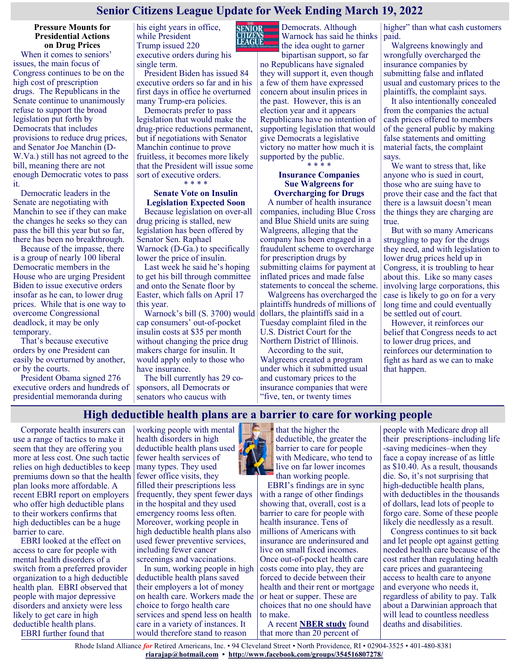## **Senior Citizens League Update for Week Ending March 19, 2022**

**Pressure Mounts for Presidential Actions on Drug Prices**

When it comes to seniors' issues, the main focus of Congress continues to be on the high cost of prescription drugs. The Republicans in the Senate continue to unanimously refuse to support the broad legislation put forth by Democrats that includes provisions to reduce drug prices, and Senator Joe Manchin (D-W.Va.) still has not agreed to the bill, meaning there are not enough Democratic votes to pass it.

Democratic leaders in the Senate are negotiating with Manchin to see if they can make the changes he seeks so they can pass the bill this year but so far, there has been no breakthrough.

Because of the impasse, there is a group of nearly 100 liberal Democratic members in the House who are urging President Biden to issue executive orders insofar as he can, to lower drug prices. While that is one way to overcome Congressional deadlock, it may be only temporary.

That's because executive orders by one President can easily be overturned by another, or by the courts.

President Obama signed 276 executive orders and hundreds of presidential memoranda during

his eight years in office, while President Trump issued 220 executive orders during his single term.

President Biden has issued 84 executive orders so far and in his first days in office he overturned many Trump-era policies.

Democrats prefer to pass legislation that would make the drug-price reductions permanent, but if negotiations with Senator Manchin continue to prove fruitless, it becomes more likely that the President will issue some sort of executive orders. \* \* \* \*

#### **Senate Vote on Insulin Legislation Expected Soon**

Because legislation on over-all drug pricing is stalled, new legislation has been offered by Senator Sen. Raphael Warnock (D-Ga.) to specifically lower the price of insulin.

Last week he said he's hoping to get his bill through committee and onto the Senate floor by Easter, which falls on April 17 this year.

Warnock's bill ([S. 3700\)](https://www.bgov.com/us_legislation/7065964724046266450) would cap consumers' out-of-pocket insulin costs at \$35 per month without changing the price drug makers charge for insulin. It would apply only to those who have insurance.

The bill currently has 29 cosponsors, all Democrats or senators who caucus with



Democrats. Although Warnock has said he thinks the idea ought to garner

bipartisan support, so far no Republicans have signaled they will support it, even though a few of them have expressed concern about insulin prices in the past. However, this is an election year and it appears Republicans have no intention of supporting legislation that would give Democrats a legislative victory no matter how much it is supported by the public. \* \* \* \*

#### **Insurance Companies Sue Walgreens for Overcharging for Drugs**

A number of health insurance companies, including Blue Cross and Blue Shield units are suing Walgreens, alleging that the company has been engaged in a fraudulent scheme to overcharge for prescription drugs by submitting claims for payment at inflated prices and made false statements to conceal the scheme.

Walgreens has overcharged the plaintiffs hundreds of millions of dollars, the plaintiffs said in a Tuesday complaint filed in the U.S. District Court for the Northern District of Illinois.

According to the suit, Walgreens created a program under which it submitted usual and customary prices to the insurance companies that were "five, ten, or twenty times

higher" than what cash customers paid.

Walgreens knowingly and wrongfully overcharged the insurance companies by submitting false and inflated usual and customary prices to the plaintiffs, the complaint says.

It also intentionally concealed from the companies the actual cash prices offered to members of the general public by making false statements and omitting material facts, the complaint says.

We want to stress that, like anyone who is sued in court, those who are suing have to prove their case and the fact that there is a lawsuit doesn't mean the things they are charging are true.

But with so many Americans struggling to pay for the drugs they need, and with legislation to lower drug prices held up in Congress, it is troubling to hear about this. Like so many cases involving large corporations, this case is likely to go on for a very long time and could eventually be settled out of court.

However, it reinforces our belief that Congress needs to act to lower drug prices, and reinforces our determination to fight as hard as we can to make that happen.

## **High deductible health plans are a barrier to care for working people**

Corporate health insurers can use a range of tactics to make it seem that they are offering you more at less cost. One such tactic relies on high deductibles to keep premiums down so that the health plan looks more affordable. A recent EBRI report on employers who offer high deductible plans to their workers confirms that high deductibles can be a huge barrier to care.

EBRI looked at the effect on access to care for people with mental health disorders of a switch from a preferred provider organization to a high deductible health plan. EBRI observed that people with major depressive disorders and anxiety were less likely to get care in high deductible health plans. EBRI further found that

working people with mental health disorders in high deductible health plans used fewer health services of many types. They used fewer office visits, they filled their prescriptions less frequently, they spent fewer days in the hospital and they used emergency rooms less often. Moreover, working people in high deductible health plans also used fewer preventive services, including fewer cancer screenings and vaccinations.

In sum, working people in high deductible health plans saved their employers a lot of money on health care. Workers made the choice to forgo health care services and spend less on health care in a variety of instances. It would therefore stand to reason

that the higher the deductible, the greater the barrier to care for people with Medicare, who tend to live on far lower incomes than working people.

EBRI's findings are in sync with a range of other findings showing that, overall, cost is a barrier to care for people with health insurance. Tens of millions of Americans with insurance are underinsured and live on small fixed incomes. Once out-of-pocket health care costs come into play, they are forced to decide between their health and their rent or mortgage or heat or supper. These are choices that no one should have to make.

A recent **[NBER study](https://justcareusa.org/the-deadly-consequences-of-out-of-pocket-drug-costs/)** found that more than 20 percent of

people with Medicare drop all their prescriptions–including life -saving medicines–when they face a copay increase of as little as \$10.40. As a result, thousands die. So, it's not surprising that high-deductible health plans, with deductibles in the thousands of dollars, lead lots of people to forgo care. Some of these people likely die needlessly as a result.

Congress continues to sit back and let people opt against getting needed health care because of the cost rather than regulating health care prices and guaranteeing access to health care to anyone and everyone who needs it, regardless of ability to pay. Talk about a Darwinian approach that will lead to countless needless deaths and disabilities.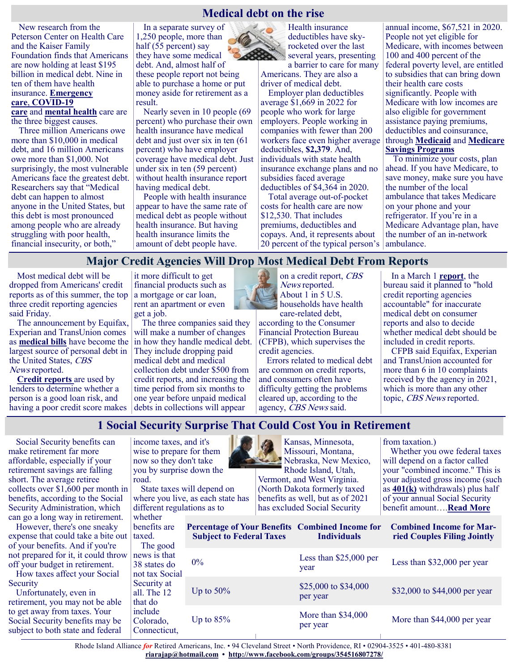## **Medical debt on the rise**

New research from the Peterson Center on Health Care and the Kaiser Family Foundation finds that Americans are now holding at least \$195 billion in medical debt. Nine in ten of them have health insurance. **[Emergency](https://justcareusa.org/round-up-emergency-care/)  [care](https://justcareusa.org/round-up-emergency-care/)**, **[COVID](https://justcareusa.org/covid-19-roundup-what-you-should-know/)-19** 

#### **[care](https://justcareusa.org/covid-19-roundup-what-you-should-know/)** and **[mental health](https://justcareusa.org/three-things-to-think-about-when-getting-mental-health-care-if-you-have-medicare/)** care are the three biggest causes.

Three million Americans owe more than \$10,000 in medical debt, and 16 million Americans owe more than \$1,000. Not surprisingly, the most vulnerable Americans face the greatest debt. Researchers say that "Medical debt can happen to almost anyone in the United States, but this debt is most pronounced among people who are already struggling with poor health, financial insecurity, or both,"

In a separate survey of 1,250 people, more than half (55 percent) say they have some medical debt. And, almost half of these people report not being able to purchase a home or put money aside for retirement as a result.

Nearly seven in 10 people (69 percent) who purchase their own health insurance have medical debt and just over six in ten (61 percent) who have employer coverage have medical debt. Just under six in ten (59 percent) without health insurance report having medical debt.

People with health insurance appear to have the same rate of medical debt as people without health insurance. But having health insurance limits the amount of debt people have.

Health insurance deductibles have skyrocketed over the last several years, presenting

a barrier to care for many Americans. They are also a driver of medical debt.

Employer plan deductibles average \$1,669 in 2022 for people who work for large employers. People working in companies with fewer than 200 workers face even higher average deductibles, **[\\$2,379](https://www.kff.org/report-section/ehbs-2021-summary-of-findings/#:~:text=Among%20covered%20workers%20with%20a,%241%2C397).)**. And, individuals with state health insurance exchange plans and no subsidies faced average deductibles of \$4,364 in 2020.

Total average out-of-pocket costs for health care are now \$12,530. That includes premiums, deductibles and copays. And, it represents about 20 percent of the typical person's ambulance.

annual income, \$67,521 in 2020. People not yet eligible for Medicare, with incomes between 100 and 400 percent of the federal poverty level, are entitled to subsidies that can bring down their health care costs significantly. People with Medicare with low incomes are also eligible for government assistance paying premiums, deductibles and coinsurance, through **[Medicaid](https://justcareusa.org/medicare-and-medicaid-how-they-work-together/)** and **[Medicare](https://justcareusa.org/2022-programs-that-lower-your-health-care-costs-if-you-have-medicare/)  [Savings Programs](https://justcareusa.org/2022-programs-that-lower-your-health-care-costs-if-you-have-medicare/)**

To minimize your costs, plan ahead. If you have Medicare, to save money, make sure you have the number of the local ambulance that takes Medicare on your phone and your refrigerator. If you're in a Medicare Advantage plan, have the number of an in-network

## **Major Credit Agencies Will Drop Most Medical Debt From Reports**

Most medical debt will be dropped from Americans' credit reports as of this summer, the top three credit reporting agencies said Friday.

The announcement by Equifax, Experian and TransUnion comes as **[medical bills](https://siepr.stanford.edu/news/americas-medical-debt-much-worse-we-think)** have become the largest source of personal debt in the United States, CBS News reported.

**[Credit reports](https://www.usa.gov/credit-reports)** are used by lenders to determine whether a person is a good loan risk, and having a poor credit score makes debts in collections will appear

it more difficult to get financial products such as a mortgage or car loan, rent an apartment or even get a job.

The three companies said they will make a number of changes in how they handle medical debt. They include dropping paid medical debt and medical collection debt under \$500 from credit reports, and increasing the time period from six months to one year before unpaid medical



on a credit report, CBS News reported. About 1 in 5 U.S. households have health care-related debt,

according to the Consumer Financial Protection Bureau (CFPB), which supervises the credit agencies.

Errors related to medical debt are common on credit reports, and consumers often have difficulty getting the problems cleared up, according to the agency, CBS News said.

In a March 1 **[report](https://files.consumerfinance.gov/f/documents/cfpb_medical-debt-burden-in-the-united-states_report_2022-03.pdf)**, the bureau said it planned to "hold credit reporting agencies accountable" for inaccurate medical debt on consumer reports and also to decide whether medical debt should be included in credit reports.

CFPB said Equifax, Experian and TransUnion accounted for more than 6 in 10 complaints received by the agency in 2021, which is more than any other topic, CBS News reported.

## **1 Social Security Surprise That Could Cost You in Retirement**

Social Security benefits can make retirement far more affordable, especially if your retirement savings are falling short. The average retiree collects over \$1,600 per month in benefits, according to the Social Security Administration, which can go a long way in retirement.

However, there's one sneaky expense that could take a bite out taxed. of your benefits. And if you're not prepared for it, it could throw off your budget in retirement.

How taxes affect your Social **Security** 

Unfortunately, even in retirement, you may not be able to get away from taxes. Your Social Security benefits may be subject to both state and federal

income taxes, and it's wise to prepare for them now so they don't take you by surprise down the road.

State taxes will depend on where you live, as each state has different regulations as to

whether **benefits** 

Th news  $38$  sta not ta Secur all. T that d inclue Color Conn

Kansas, Minnesota, Missouri, Montana, Nebraska, New Mexico, Rhode Island, Utah, Vermont, and West Virginia. (North Dakota formerly taxed benefits as well, but as of 2021 has excluded Social Security

from taxation.)

Whether you owe federal taxes will depend on a factor called your "combined income." This is your adjusted gross income (such as **[401\(k\)](https://www.fool.com/retirement/2022/03/14/3-tips-for-turning-your-401k-into-a-million-dollar/?utm_source=msnrss&utm_medium=feed&utm_campaign=article&referring_guid=a1c199a2-25c9-4c94-a1a2-df9e55721e77)** withdrawals) plus half of your annual Social Security benefit amount….**[Read More](https://www.msn.com/en-us/money/retirement/1-social-security-surprise-that-could-cost-you-in-retirement/ar-AAVgc7X?ocid=SK2DDHP)**

| fits are<br>e good<br>is that<br>ates do<br>ax Social<br>rity at<br>he 12<br>dс<br>de<br>rado,<br>ecticut, | <b>Percentage of Your Benefits Combined Income for</b><br><b>Subject to Federal Taxes</b> | Individuals                      | <b>Combined Income for Mar-</b><br>ried Couples Filing Jointly |
|------------------------------------------------------------------------------------------------------------|-------------------------------------------------------------------------------------------|----------------------------------|----------------------------------------------------------------|
|                                                                                                            | $0\%$                                                                                     | Less than $$25,000$ per<br>year  | Less than \$32,000 per year                                    |
|                                                                                                            | Up to $50\%$                                                                              | \$25,000 to \$34,000<br>per year | \$32,000 to \$44,000 per year                                  |
|                                                                                                            | Up to $85%$                                                                               | More than \$34,000<br>per year   | More than \$44,000 per year                                    |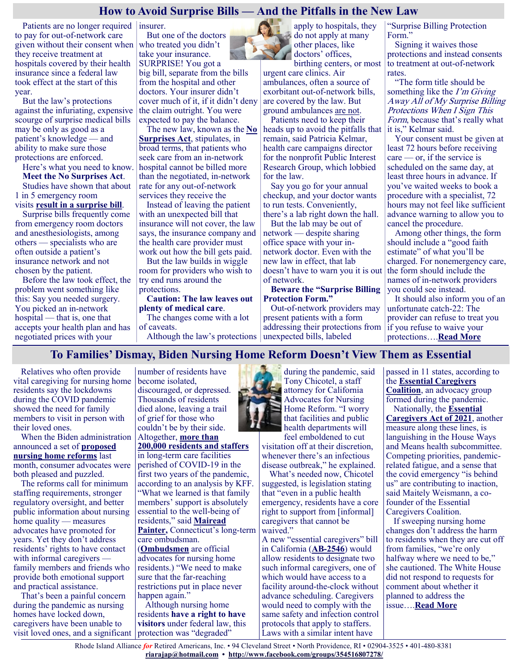## **How to Avoid Surprise Bills — And the Pitfalls in the New Law**

Patients are no longer required insurer.

to pay for out-of-network care given without their consent when they receive treatment at hospitals covered by their health insurance since a federal law took effect at the start of this year.

But the law's protections against the infuriating, expensive scourge of surprise medical bills may be only as good as a patient's knowledge — and ability to make sure those protections are enforced.

Here's what you need to know. **Meet the No Surprises Act**.

Studies have shown that about 1 in 5 emergency room visits **[result in a surprise bill](https://www.kff.org/health-reform/issue-brief/no-surprises-act-implementation-what-to-expect-in-2022/)**.

Surprise bills frequently come from emergency room doctors and anesthesiologists, among others — specialists who are often outside a patient's insurance network and not chosen by the patient.

Before the law took effect, the problem went something like this: Say you needed surgery. You picked an in-network hospital — that is, one that accepts your health plan and has negotiated prices with your

But one of the doctors who treated you didn't take your insurance.

SURPRISE! You got a big bill, separate from the bills from the hospital and other doctors. Your insurer didn't cover much of it, if it didn't deny the claim outright. You were expected to pay the balance.

The new law, known as the **[No](https://www.npr.org/sections/health-shots/2021/10/14/1045828215/ban-on-surprise-medical-bills)  [Surprises Act](https://www.npr.org/sections/health-shots/2021/10/14/1045828215/ban-on-surprise-medical-bills)**, stipulates, in broad terms, that patients who seek care from an in-network hospital cannot be billed more than the negotiated, in-network rate for any out-of-network services they receive the

Instead of leaving the patient with an unexpected bill that insurance will not cover, the law says, the insurance company and the health care provider must

work out how the bill gets paid. But the law builds in wiggle room for providers who wish to try end runs around the protections.

**Caution: The law leaves out plenty of medical care**.

The changes come with a lot of caveats.

Although the law's protections unexpected bills, labeled

apply to hospitals, they do not apply at many other places, like doctors' offices, birthing centers, or most

urgent care clinics. Air ambulances, often a source of exorbitant out-of-network bills, are covered by the law. But ground ambulances [are not.](https://news.yahoo.com/health-care-no-surprises-act-190006423.html?guccounter=1)

Patients need to keep their heads up to avoid the pitfalls that remain, said Patricia Kelmar, health care campaigns director for the nonprofit Public Interest Research Group, which lobbied for the law.

Say you go for your annual checkup, and your doctor wants to run tests. Conveniently, there's a lab right down the hall.

But the lab may be out of network — despite sharing office space with your innetwork doctor. Even with the new law in effect, that lab doesn't have to warn you it is out of network.

**Beware the "Surprise Billing Protection Form."**

Out-of-network providers may present patients with a form addressing their protections from "Surprise Billing Protection Form."

Signing it waives those protections and instead consents to treatment at out-of-network rates.

"The form title should be something like the *I'm Giving* Away All of My Surprise Billing Protections When I Sign This Form, because that's really what it is," Kelmar said.

Your consent must be given at least 72 hours before receiving care — or, if the service is scheduled on the same day, at least three hours in advance. If you've waited weeks to book a procedure with a specialist, 72 hours may not feel like sufficient advance warning to allow you to cancel the procedure.

Among other things, the form should include a "good faith estimate" of what you'll be charged. For nonemergency care, the form should include the names of in-network providers you could see instead.

It should also inform you of an unfortunate catch-22: The provider can refuse to treat you if you refuse to waive your protections….**[Read More](https://khn.org/news/article/how-to-avoid-surprise-bills-no-suprises-act-pitfalls/)**

## **To Families' Dismay, Biden Nursing Home Reform Doesn't View Them as Essential**

Relatives who often provide vital caregiving for nursing home residents say the lockdowns during the COVID pandemic showed the need for family members to visit in person with their loved ones.

When the Biden administration announced a set of **[proposed](https://www.whitehouse.gov/briefing-room/statements-releases/2022/02/28/fact-sheet-protecting-seniors-and-people-with-disabilities-by-improving-safety-and-quality-of-care-in-the-nations-nursing-homes/)  [nursing home reforms](https://www.whitehouse.gov/briefing-room/statements-releases/2022/02/28/fact-sheet-protecting-seniors-and-people-with-disabilities-by-improving-safety-and-quality-of-care-in-the-nations-nursing-homes/)** last month, consumer advocates were both pleased and puzzled.

The reforms call for minimum staffing requirements, stronger regulatory oversight, and better public information about nursing home quality — measures advocates have promoted for years. Yet they don't address residents' rights to have contact with informal caregivers family members and friends who provide both emotional support and practical assistance.

That's been a painful concern during the pandemic as nursing homes have locked down, caregivers have been unable to visit loved ones, and a significant protection was "degraded"

number of residents have become isolated, discouraged, or depressed. Thousands of residents died alone, leaving a trail of grief for those who couldn't be by their side. Altogether, **[more than](https://www.kff.org/policy-watch/over-200000-residents-and-staff-in-long-term-care-facilities-have-died-from-covid-19/)** 

**[200,000 residents and staffer](https://www.kff.org/policy-watch/over-200000-residents-and-staff-in-long-term-care-facilities-have-died-from-covid-19/)s**  in long-term care facilities perished of COVID-19 in the first two years of the pandemic, according to an analysis by KFF. "What we learned is that family members' support is absolutely essential to the well-being of residents," said **[Mairead](https://portal.ct.gov/LTCOP/State-Ombudsman-Mairead-Painter-s-Bio)  [Painter,](https://portal.ct.gov/LTCOP/State-Ombudsman-Mairead-Painter-s-Bio)** Connecticut's long-term care ombudsman.

(**[Ombudsmen](https://acl.gov/programs/Protecting-Rights-and-Preventing-Abuse/Long-term-Care-Ombudsman-Program)** are official advocates for nursing home residents.) "We need to make sure that the far-reaching restrictions put in place never happen again."

Although nursing home residents **[have a right to have](https://downloads.cms.gov/medicare/your_resident_rights_and_protections_section.pdf)  [visitors](https://downloads.cms.gov/medicare/your_resident_rights_and_protections_section.pdf)** under federal law, this



during the pandemic, said Tony Chicotel, a staff attorney for California Advocates for Nursing Home Reform. "I worry that facilities and public health departments will feel emboldened to cut

visitation off at their discretion, whenever there's an infectious disease outbreak," he explained.

What's needed now, Chicotel suggested, is legislation stating that "even in a public health emergency, residents have a core right to support from [informal] caregivers that cannot be waived."

A new "essential caregivers" bill in California (**AB-[2546](https://leginfo.legislature.ca.gov/faces/billNavClient.xhtml?bill_id=202120220AB2546&fbclid=IwAR037sFaQAZFoxEWF_bAWrz5JUmRR1klu308i-kbRC-dXESxxnlAGsOLdTo)**) would allow residents to designate two such informal caregivers, one of which would have access to a facility around-the-clock without advance scheduling. Caregivers would need to comply with the same safety and infection control protocols that apply to staffers. Laws with a similar intent have

passed in 11 states, according to the **[Essential Caregivers](https://www.essentialcaregiverscoalition.org/)  [Coalition](https://www.essentialcaregiverscoalition.org/)**, an advocacy group formed during the pandemic. Nationally, the **[Essential](https://www.congress.gov/bill/117th-congress/house-bill/3733?s=1&r=56)  [Caregivers Act of 2021](https://www.congress.gov/bill/117th-congress/house-bill/3733?s=1&r=56)**, another measure along these lines, is languishing in the House Ways and Means health subcommittee. Competing priorities, pandemicrelated fatigue, and a sense that the covid emergency "is behind us" are contributing to inaction, said Maitely Weismann, a cofounder of the Essential Caregivers Coalition.

If sweeping nursing home changes don't address the harm to residents when they are cut off from families, "we're only halfway where we need to be," she cautioned. The White House did not respond to requests for comment about whether it planned to address the issue….**[Read More](https://www.usnews.com/news/health-news/articles/2022-03-18/to-families-dismay-biden-nursing-home-reform-doesnt-view-them-as-essential)**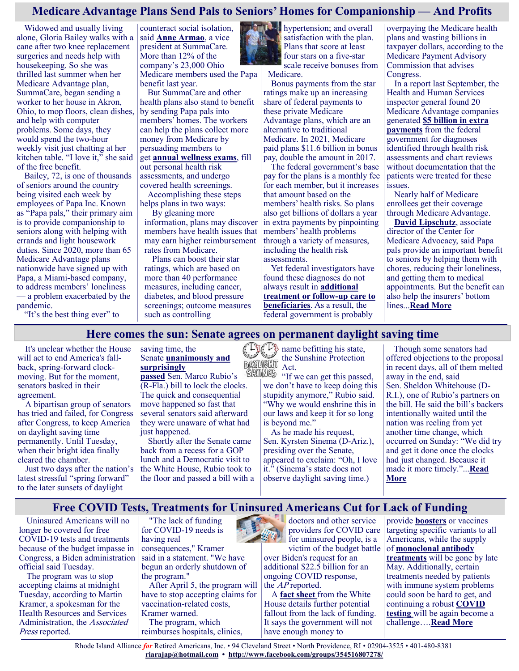# **Medicare Advantage Plans Send Pals to Seniors' Homes for Companionship — And Profits**

Widowed and usually living alone, Gloria Bailey walks with a cane after two knee replacement surgeries and needs help with housekeeping. So she was thrilled last summer when her Medicare Advantage plan, SummaCare, began sending a worker to her house in Akron, Ohio, to mop floors, clean dishes, and help with computer problems. Some days, they would spend the two-hour weekly visit just chatting at her kitchen table. "I love it," she said of the free benefit.

Bailey, 72, is one of thousands of seniors around the country being visited each week by employees of Papa Inc. Known as "Papa pals," their primary aim is to provide companionship to seniors along with helping with errands and light housework duties. Since 2020, more than 65 Medicare Advantage plans nationwide have signed up with Papa, a Miami-based company, to address members' loneliness — a problem exacerbated by the pandemic.

"It's the best thing ever" to

counteract social isolation, said **[Anne Armao](https://www.summacare.com/about-us/leadership/armao)**, a vice president at SummaCare. More than 12% of the company's 23,000 Ohio Medicare members used the Papa benefit last year.

But SummaCare and other health plans also stand to benefit by sending Papa pals into members' homes. The workers can help the plans collect more money from Medicare by persuading members to get **[annual wellness exams](http://www.healthmine.com/resources/incentivized-annual-wellness-visits-healthcare-rewards-incentives-program)**, fill out personal health risk assessments, and undergo covered health screenings.

Accomplishing these steps helps plans in two ways:

By gleaning more information, plans may discover members have health issues that may earn higher reimbursement rates from Medicare.

Plans can boost their star ratings, which are based on more than 40 performance measures, including cancer, diabetes, and blood pressure screenings; outcome measures such as controlling

*U* hypertension; and overall satisfaction with the plan. Plans that score at least four stars on a five-star scale receive bonuses from Medicare.

Bonus payments from the star ratings make up an increasing share of federal payments to these private Medicare Advantage plans, which are an alternative to traditional Medicare. In 2021, Medicare paid plans \$11.6 billion in bonus pay, double the amount in 2017.

The federal government's base pay for the plans is a monthly fee for each member, but it increases that amount based on the members' health risks. So plans also get billions of dollars a year in extra payments by pinpointing members' health problems through a variety of measures, including the health risk assessments.

Yet federal investigators have found these diagnoses do not always result in **[additional](https://www.medpac.gov/wp-content/uploads/2021/10/march-2016-report-to-the-congress-medicare-payment-policy.pdf)  [treatment or follow](https://www.medpac.gov/wp-content/uploads/2021/10/march-2016-report-to-the-congress-medicare-payment-policy.pdf)-up care to [beneficiaries](https://www.medpac.gov/wp-content/uploads/2021/10/march-2016-report-to-the-congress-medicare-payment-policy.pdf)**. As a result, the federal government is probably

overpaying the Medicare health plans and wasting billions in taxpayer dollars, according to the Medicare Payment Advisory Commission that advises Congress.

In a report last September, the Health and Human Services inspector general found 20 Medicare Advantage companies generated **[\\$5 billion in extra](https://oig.hhs.gov/oei/reports/OEI-03-17-00474.pdf)  [payments](https://oig.hhs.gov/oei/reports/OEI-03-17-00474.pdf)** from the federal government for diagnoses identified through health risk assessments and chart reviews without documentation that the patients were treated for these issues.

Nearly half of Medicare enrollees get their coverage through Medicare Advantage.

**[David Lipschutz](https://medicareadvocacy.org/david-lipschutz-jd-attorney/)**, associate director of the Center for Medicare Advocacy, said Papa pals provide an important benefit to seniors by helping them with chores, reducing their loneliness, and getting them to medical appointments. But the benefit can also help the insurers' bottom lines...**[Read More](https://khn.org/news/article/medicare-advantage-plans-senior-companions-profits/)**

## **Here comes the sun: Senate agrees on permanent daylight saving time**

It's unclear whether the House will act to end America's fallback, spring-forward clockmoving. But for the moment, senators basked in their agreement.

A bipartisan group of senators has tried and failed, for Congress after Congress, to keep America on daylight saving time permanently. Until Tuesday, when their bright idea finally cleared the chamber.

Just two days after the nation's latest stressful "spring forward" to the later sunsets of daylight

#### saving time, the Senate **[unanimously and](https://www.politico.com/f/?id=0000017f-8f22-d4fc-a1ff-bfa68e990000)  [surprisingly](https://www.politico.com/f/?id=0000017f-8f22-d4fc-a1ff-bfa68e990000)  [passed](https://www.politico.com/f/?id=0000017f-8f22-d4fc-a1ff-bfa68e990000)** Sen. Marco Rubio's

(R-Fla.) bill to lock the clocks. The quick and consequential move happened so fast that several senators said afterward they were unaware of what had just happened.

Shortly after the Senate came back from a recess for a GOP lunch and a Democratic visit to the White House, Rubio took to the floor and passed a bill with a

**CER** name befitting his state, the Sunshine Protection Act.

**ENVINGS** "If we can get this passed, we don't have to keep doing this stupidity anymore," Rubio said. "Why we would enshrine this in our laws and keep it for so long is beyond me."

> As he made his request, Sen. Kyrsten Sinema (D-Ariz.), presiding over the Senate, appeared to exclaim: "Oh, I love it." (Sinema's state does not observe daylight saving time.)

Though some senators had offered objections to the proposal in recent days, all of them melted away in the end, said Sen. Sheldon Whitehouse (D-R.I.), one of Rubio's partners on the bill. He said the bill's backers intentionally waited until the nation was reeling from yet another time change, which occurred on Sunday: "We did try and get it done once the clocks had just changed. Because it made it more timely."...**[Read](https://www.politico.com/news/2022/03/15/here-comes-the-sun-senate-moves-to-make-daylight-savings-time-permanent-00017451)  [More](https://www.politico.com/news/2022/03/15/here-comes-the-sun-senate-moves-to-make-daylight-savings-time-permanent-00017451)**

## **Free COVID Tests, Treatments for Uninsured Americans Cut for Lack of Funding**

Uninsured Americans will no longer be covered for free COVID-19 tests and treatments because of the budget impasse in Congress, a Biden administration official said Tuesday.

The program was to stop accepting claims at midnight Tuesday, according to Martin Kramer, a spokesman for the Health Resources and Services Administration, the Associated Press reported.

"The lack of funding for COVID-19 needs is having real

consequences," Kramer said in a statement. "We have begun an orderly shutdown of the program."

After April 5, the program will have to stop accepting claims for vaccination-related costs, Kramer warned.

The program, which reimburses hospitals, clinics,



doctors and other service providers for COVID care for uninsured people, is a victim of the budget battle

over Biden's request for an additional \$22.5 billion for an ongoing COVID response, the AP reported.

A **[fact sheet](https://www.whitehouse.gov/briefing-room/statements-releases/2022/03/15/fact-sheet-consequences-of-lack-of-funding-for-efforts-to-combat-covid-19-if-congress-does-not-act/)** from the White House details further potential fallout from the lack of funding. It says the government will not have enough money to

provide **[boosters](https://www.cdc.gov/coronavirus/2019-ncov/vaccines/booster-shot.html)** or vaccines targeting specific variants to all Americans, while the supply of **[monoclonal antibody](https://combatcovid.hhs.gov/what-are-monoclonal-antibodies)  [treatments](https://combatcovid.hhs.gov/what-are-monoclonal-antibodies)** will be gone by late May. Additionally, certain treatments needed by patients with immune system problems could soon be hard to get, and continuing a robust **[COVID](https://www.cdc.gov/coronavirus/2019-ncov/symptoms-testing/testing.html)  [testing](https://www.cdc.gov/coronavirus/2019-ncov/symptoms-testing/testing.html)** will be again become a challenge….**[Read More](https://consumer.healthday.com/covid-testing-2657022007.html)**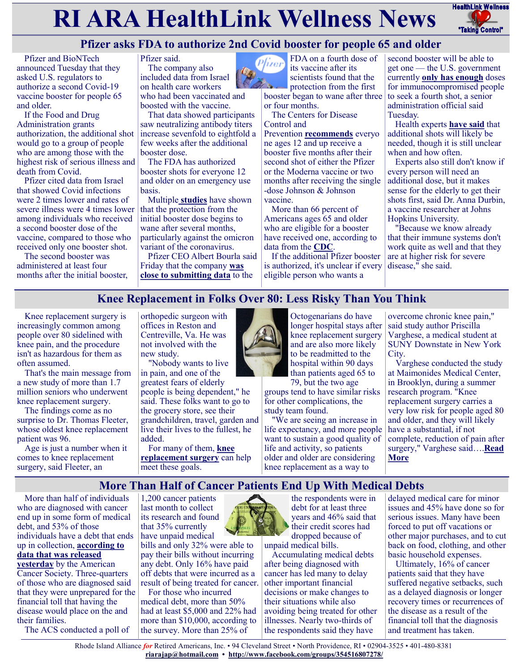# **RI ARA HealthLink Wellness News** HealthLink Wellness



# **Pfizer asks FDA to authorize 2nd Covid booster for people 65 and older**

Pfizer and BioNTech announced Tuesday that they asked U.S. regulators to authorize a second Covid-19 vaccine booster for people 65 and older.

If the Food and Drug Administration grants authorization, the additional shot would go to a group of people who are among those with the highest risk of serious illness and death from Covid.

Pfizer cited data from Israel that showed Covid infections were 2 times lower and rates of severe illness were 4 times lower among individuals who received a second booster dose of the vaccine, compared to those who received only one booster shot.

The second booster was administered at least four months after the initial booster, Pfizer said. The company also

included data from Israel on health care workers who had been vaccinated and boosted with the vaccine.

That data showed participants saw neutralizing antibody titers increase sevenfold to eightfold a few weeks after the additional booster dose.

The FDA has authorized booster shots for everyone 12 and older on an emergency use basis.

Multiple **[studies](https://www.nbcnews.com/health/health-news/cdc-finds-covid-booster-effectiveness-wanes-remains-strong-rcna15951)** have shown that the protection from the initial booster dose begins to wane after several months, particularly against the omicron variant of the coronavirus.

Pfizer CEO Albert Bourla said Friday that the company **[was](https://www.nbcnews.com/health/health-news/pfizer-plans-submit-data-4th-covid-shot-fda-rcna19675)  [close to submitting data](https://www.nbcnews.com/health/health-news/pfizer-plans-submit-data-4th-covid-shot-fda-rcna19675)** to the



FDA on a fourth dose of its vaccine after its scientists found that the protection from the first

booster began to wane after three or four months.

The Centers for Disease Control and

Prevention **[recommends](https://www.cdc.gov/coronavirus/2019-ncov/vaccines/booster-shot.html#:~:text=Pfizer%2DBioNTech-,Who%20should%20get%20a,Everyone%2012%20years%20and%20older)** everyo ne ages 12 and up receive a booster five months after their second shot of either the Pfizer or the Moderna vaccine or two months after receiving the single -dose Johnson & Johnson vaccine.

More than 66 percent of Americans ages 65 and older who are eligible for a booster have received one, according to data from the **[CDC](https://covid.cdc.gov/covid-data-tracker/#vaccinations_vacc-total-admin-rate-total)**.

If the additional Pfizer booster is authorized, it's unclear if every eligible person who wants a

second booster will be able to get one — the U.S. government currently **[only has enough](https://www.nbcnews.com/politics/white-house/white-house-warns-covid-treatment-vaccine-cuts-added-funding-rcna20097)** doses for immunocompromised people to seek a fourth shot, a senior administration official said Tuesday.

Health experts **[have said](https://www.nbcnews.com/health/health-news/2nd-booster-may-come-fall-might-not-shot-got-last-time-rcna18976)** that additional shots will likely be needed, though it is still unclear when and how often.

Experts also still don't know if every person will need an additional dose, but it makes sense for the elderly to get their shots first, said Dr. Anna Durbin, a vaccine researcher at Johns Hopkins University.

"Because we know already that their immune systems don't work quite as well and that they are at higher risk for severe disease," she said.

## **Knee Replacement in Folks Over 80: Less Risky Than You Think**

Knee replacement surgery is increasingly common among people over 80 sidelined with knee pain, and the procedure isn't as hazardous for them as often assumed.

That's the main message from a new study of more than 1.7 million seniors who underwent knee replacement surgery.

The findings come as no surprise to Dr. Thomas Fleeter, whose oldest knee replacement patient was 96.

Age is just a number when it comes to knee replacement surgery, said Fleeter, an

orthopedic surgeon with offices in Reston and Centreville, Va. He was not involved with the new study.

"Nobody wants to live in pain, and one of the greatest fears of elderly people is being dependent," he said. These folks want to go to the grocery store, see their grandchildren, travel, garden and live their lives to the fullest, he added.

For many of them, **[knee](https://orthoinfo.aaos.org/en/treatment/total-knee-replacement/)  [replacement surgery](https://orthoinfo.aaos.org/en/treatment/total-knee-replacement/)** can help meet these goals.



Octogenarians do have longer hospital stays after knee replacement surgery and are also more likely to be readmitted to the hospital within 90 days than patients aged 65 to 79, but the two age

groups tend to have similar risks for other complications, the study team found.

"We are seeing an increase in life expectancy, and more people want to sustain a good quality of life and activity, so patients older and older are considering knee replacement as a way to

overcome chronic knee pain," said study author Priscilla Varghese, a medical student at SUNY Downstate in New York City.

Varghese conducted the study at Maimonides Medical Center, in Brooklyn, during a summer research program. "Knee replacement surgery carries a very low risk for people aged 80 and older, and they will likely have a substantial, if not complete, reduction of pain after surgery," Varghese said….**[Read](https://consumer.healthday.com/3-22-2656926375.html)  [More](https://consumer.healthday.com/3-22-2656926375.html)**

# **More Than Half of Cancer Patients End Up With Medical Debts**

More than half of individuals who are diagnosed with cancer end up in some form of medical debt, and 53% of those individuals have a debt that ends up in collection, **[according to](https://www.fightcancer.org/sites/default/files/national_documents/survivor_views_cancer_debt_0.pdf)  [data that was released](https://www.fightcancer.org/sites/default/files/national_documents/survivor_views_cancer_debt_0.pdf)  [yesterday](https://www.fightcancer.org/sites/default/files/national_documents/survivor_views_cancer_debt_0.pdf)** by the American Cancer Society. Three-quarters of those who are diagnosed said that they were unprepared for the financial toll that having the disease would place on the and their families.

The ACS conducted a poll of

1,200 cancer patients last month to collect its research and found that 35% currently have unpaid medical

bills and only 32% were able to pay their bills without incurring any debt. Only 16% have paid off debts that were incurred as a result of being treated for cancer.

For those who incurred medical debt, more than 50% had at least \$5,000 and 22% had more than \$10,000, according to the survey. More than 25% of



unpaid medical bills.

Accumulating medical debts after being diagnosed with cancer has led many to delay other important financial decisions or make changes to their situations while also avoiding being treated for other illnesses. Nearly two-thirds of the respondents said they have

delayed medical care for minor issues and 45% have done so for serious issues. Many have been forced to put off vacations or other major purchases, and to cut back on food, clothing, and other basic household expenses.

Ultimately, 16% of cancer patients said that they have suffered negative setbacks, such as a delayed diagnosis or longer recovery times or recurrences of the disease as a result of the financial toll that the diagnosis and treatment has taken.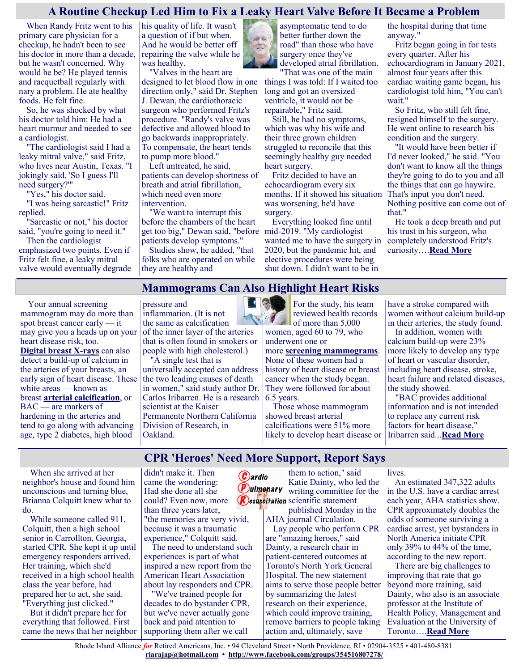## **A Routine Checkup Led Him to Fix a Leaky Heart Valve Before It Became a Problem**

When Randy Fritz went to his his quality of life. It wasn't primary care physician for a checkup, he hadn't been to see his doctor in more than a decade, but he wasn't concerned. Why would he be? He played tennis and racquetball regularly with nary a problem. He ate healthy foods. He felt fine.

So, he was shocked by what his doctor told him: He had a heart murmur and needed to see a cardiologist.

"The cardiologist said I had a leaky mitral valve," said Fritz, who lives near Austin, Texas. "I jokingly said, 'So I guess I'll need surgery?'"

"Yes," his doctor said.

"I was being sarcastic!" Fritz replied.

"Sarcastic or not," his doctor said, "you're going to need it."

Then the cardiologist emphasized two points. Even if Fritz felt fine, a leaky mitral valve would eventually degrade

a question of if but when. And he would be better off repairing the valve while he was healthy.

"Valves in the heart are designed to let blood flow in one direction only," said Dr. Stephen J. Dewan, the cardiothoracic surgeon who performed Fritz's procedure. "Randy's valve was defective and allowed blood to go backwards inappropriately. To compensate, the heart tends to pump more blood."

Left untreated, he said, patients can develop shortness of breath and atrial fibrillation, which need even more intervention.

"We want to interrupt this before the chambers of the heart get too big," Dewan said, "before patients develop symptoms."

Studies show, he added, "that folks who are operated on while they are healthy and

asymptomatic tend to do better further down the road" than those who have surgery once they've developed atrial fibrillation.

"That was one of the main things I was told: If I waited too long and got an oversized ventricle, it would not be repairable," Fritz said.

Still, he had no symptoms, which was why his wife and their three grown children struggled to reconcile that this seemingly healthy guy needed heart surgery.

Fritz decided to have an echocardiogram every six months. If it showed his situation was worsening, he'd have surgery.

Everything looked fine until mid-2019. "My cardiologist wanted me to have the surgery in 2020, but the pandemic hit, and elective procedures were being shut down. I didn't want to be in

the hospital during that time anyway."

Fritz began going in for tests every quarter. After his echocardiogram in January 2021, almost four years after this cardiac waiting game began, his cardiologist told him, "You can't wait."

So Fritz, who still felt fine, resigned himself to the surgery. He went online to research his condition and the surgery.

"It would have been better if I'd never looked," he said. "You don't want to know all the things they're going to do to you and all the things that can go haywire. That's input you don't need. Nothing positive can come out of that."

He took a deep breath and put his trust in his surgeon, who completely understood Fritz's curiosity….**[Read More](https://consumer.healthday.com/aha-news-a-routine-checkup-led-him-to-fix-a-leaky-heart-valve-before-it-became-a-problem-2656969196.html)**

## **Mammograms Can Also Highlight Heart Risks**

Your annual screening mammogram may do more than spot breast cancer early — it may give you a heads up on your heart disease risk, too. **[Digital breast X](https://www.heart.org/en/news/2019/12/02/could-mammograms-screen-for-heart-disease)-rays** can also detect a build-up of calcium in the arteries of your breasts, an early sign of heart disease. These white areas — known as breast **[arterial calcification](https://www.bhf.org.uk/informationsupport/heart-matters-magazine/medical/ask-the-experts/calcification-of-arteries)**, or BAC — are markers of hardening in the arteries and tend to go along with advancing age, type 2 diabetes, high blood

pressure and inflammation. (It is not the same as calcification

of the inner layer of the arteries that is often found in smokers or people with high cholesterol.)

"A single test that is universally accepted can address the two leading causes of death in women," said study author Dr. Carlos Iribarren. He is a research scientist at the Kaiser Permanente Northern California Division of Research, in Oakland.



For the study, his team reviewed health records of more than 5,000 women, aged 60 to 79, who underwent one or

more **[screening mammograms](https://www.cancer.gov/types/breast/mammograms-fact-sheet#:~:text=A%20mammogram%20is%20an%20x,or%20images%2C%20of%20each%20breast.)**. None of these women had a history of heart disease or breast cancer when the study began. They were followed for about 6.5 years.

Those whose mammogram showed breast arterial calcifications were 51% more likely to develop heart disease or

have a stroke compared with women without calcium build-up in their arteries, the study found.

In addition, women with calcium build-up were 23% more likely to develop any type of heart or vascular disorder, including heart disease, stroke, heart failure and related diseases, the study showed.

"BAC provides additional information and is not intended to replace any current risk factors for heart disease," Iribarren said...**[Read More](https://consumer.healthday.com/3-16-mammograms-can-also-highlight-heart-risks-study-2656910751.html)**

## **CPR 'Heroes' Need More Support, Report Says**

When she arrived at her neighbor's house and found him unconscious and turning blue, Brianna Colquitt knew what to do.

While someone called 911, Colquitt, then a high school senior in Carrollton, Georgia, started CPR. She kept it up until emergency responders arrived. Her training, which she'd received in a high school health class the year before, had prepared her to act, she said. "Everything just clicked."

But it didn't prepare her for everything that followed. First came the news that her neighbor didn't make it. Then  $\mathcal{C}$ ardio came the wondering: Had she done all she could? Even now, more than three years later, "the memories are very vivid, because it was a traumatic experience," Colquitt said.

The need to understand such experiences is part of what inspired a new report from the American Heart Association about lay responders and CPR.

"We've trained people for decades to do bystander CPR, but we've never actually gone back and paid attention to supporting them after we call

them to action," said Katie Dainty, who led the *Dulmonary* writing committee for the  $\mathcal{R}$ )esuscitation scientific statement

published Monday in the AHA journal Circulation.

Lay people who perform CPR are "amazing heroes," said Dainty, a research chair in patient-centered outcomes at Toronto's North York General Hospital. The new statement aims to serve those people better by summarizing the latest research on their experience, which could improve training, remove barriers to people taking action and, ultimately, save

lives.

An estimated 347,322 adults in the U.S. have a cardiac arrest each year, AHA statistics show. CPR approximately doubles the odds of someone surviving a cardiac arrest, yet bystanders in North America initiate CPR only 39% to 44% of the time, according to the new report.

There are big challenges to improving that rate that go beyond more training, said Dainty, who also is an associate professor at the Institute of Health Policy, Management and Evaluation at the University of Toronto….**[Read More](https://consumer.healthday.com/aha-news-cpr-heroes-need-more-support-report-says-2657000296.html)**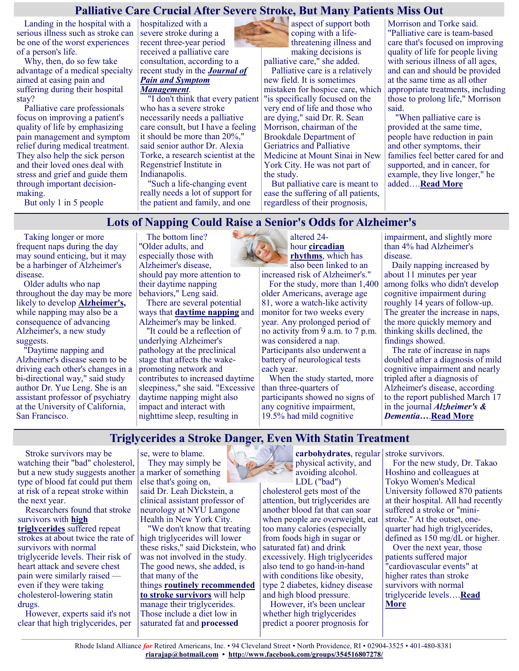## **Palliative Care Crucial After Severe Stroke, But Many Patients Miss Out**

Landing in the hospital with a serious illness such as stroke can be one of the worst experiences of a person's life.

Why, then, do so few take advantage of a medical specialty aimed at easing pain and suffering during their hospital stay?

Palliative care professionals focus on improving a patient's quality of life by emphasizing pain management and symptom relief during medical treatment. They also help the sick person and their loved ones deal with stress and grief and guide them through important decisionmaking.

But only 1 in 5 people

hospitalized with a severe stroke during a recent three-year period received a palliative care consultation, according to a recent study in the *[Journal of](https://www.jpsmjournal.com/article/S0885-3924(21)00709-0/fulltext)  [Pain and Symptom](https://www.jpsmjournal.com/article/S0885-3924(21)00709-0/fulltext)  [Management](https://www.jpsmjournal.com/article/S0885-3924(21)00709-0/fulltext)*.

"I don't think that every patient who has a severe stroke necessarily needs a palliative care consult, but I have a feeling it should be more than 20%," said senior author Dr. Alexia Torke, a research scientist at the Regenstrief Institute in Indianapolis.

"Such a life-changing event really needs a lot of support for the patient and family, and one

aspect of support both coping with a lifethreatening illness and making decisions is

palliative care," she added. Palliative care is a relatively new field. It is sometimes mistaken for hospice care, which "is specifically focused on the very end of life and those who are dying," said Dr. R. Sean Morrison, chairman of the Brookdale Department of Geriatrics and Palliative Medicine at Mount Sinai in New York City. He was not part of the study.

But palliative care is meant to ease the suffering of all patients, regardless of their prognosis,

Morrison and Torke said. "Palliative care is team-based care that's focused on improving quality of life for people living with serious illness of all ages, and can and should be provided at the same time as all other appropriate treatments, including those to prolong life," Morrison said.

"When palliative care is provided at the same time, people have reduction in pain and other symptoms, their families feel better cared for and supported, and in cancer, for example, they live longer," he added….**[Read More](https://consumer.healthday.com/3-16-palliative-care-teams-often-crucial-after-severe-stroke-2656911996.html)**

## **Lots of Napping Could Raise a Senior's Odds for Alzheimer's**

Taking longer or more frequent naps during the day may sound enticing, but it may be a harbinger of Alzheimer's disease.

Older adults who nap throughout the day may be more likely to develop **[Alzheimer's,](https://www.nia.nih.gov/health/alzheimers-disease-fact-sheet)**  while napping may also be a consequence of advancing Alzheimer's, a new study suggests.

"Daytime napping and Alzheimer's disease seem to be driving each other's changes in a bi-directional way," said study author Dr. Yue Leng. She is an assistant professor of psychiatry at the University of California, San Francisco.

The bottom line? "Older adults, and especially those with Alzheimer's disease, should pay more attention to their daytime napping behaviors," Leng said.

There are several potential ways that **[daytime napping](https://www.health.harvard.edu/staying-healthy/is-your-daily-nap-doing-more-harm-than-good)** and

Alzheimer's may be linked. "It could be a reflection of underlying Alzheimer's pathology at the preclinical stage that affects the wakepromoting network and contributes to increased daytime sleepiness," she said. "Excessive daytime napping might also impact and interact with nighttime sleep, resulting in



hour **[circadian](https://www.nigms.nih.gov/education/fact-sheets/Pages/circadian-rhythms.aspx#:~:text=Circadian%20rhythms%20are%20physical%2C%20mental,the%20study%20of%20circadian%20rhythms.)  [rhythms](https://www.nigms.nih.gov/education/fact-sheets/Pages/circadian-rhythms.aspx#:~:text=Circadian%20rhythms%20are%20physical%2C%20mental,the%20study%20of%20circadian%20rhythms.)**, which has also been linked to an increased risk of Alzheimer's."

For the study, more than 1,400 older Americans, average age 81, wore a watch-like activity monitor for two weeks every year. Any prolonged period of no activity from 9 a.m. to 7 p.m. was considered a nap. Participants also underwent a battery of neurological tests each year.

When the study started, more than three-quarters of participants showed no signs of any cognitive impairment, 19.5% had mild cognitive

impairment, and slightly more than 4% had Alzheimer's disease.

Daily napping increased by about 11 minutes per year among folks who didn't develop cognitive impairment during roughly 14 years of follow-up. The greater the increase in naps, the more quickly memory and thinking skills declined, the findings showed.

The rate of increase in naps doubled after a diagnosis of mild cognitive impairment and nearly tripled after a diagnosis of Alzheimer's disease, according to the report published March 17 in the journal *[Alzheimer's &](https://alz-journals.onlinelibrary.wiley.com/doi/abs/10.1002/alz.12636)  [Dementia](https://alz-journals.onlinelibrary.wiley.com/doi/abs/10.1002/alz.12636)***…**.**[Read More](https://consumer.healthday.com/3-17-2656956379.html)**

## **Triglycerides a Stroke Danger, Even With Statin Treatment**

Stroke survivors may be watching their "bad" cholesterol, but a new study suggests another type of blood fat could put them at risk of a repeat stroke within the next year.

Researchers found that stroke survivors with **[high](https://www.nhlbi.nih.gov/health-topics/high-blood-triglycerides)  [triglycerides](https://www.nhlbi.nih.gov/health-topics/high-blood-triglycerides)** suffered repeat strokes at about twice the rate of survivors with normal triglyceride levels. Their risk of heart attack and severe chest pain were similarly raised even if they were taking cholesterol-lowering statin drugs.

However, experts said it's not clear that high triglycerides, per se, were to blame.

They may simply be a marker of something else that's going on, said Dr. Leah Dickstein, a clinical assistant professor of neurology at NYU Langone Health in New York City.

"We don't know that treating high triglycerides will lower these risks," said Dickstein, who was not involved in the study. The good news, she added, is that many of the things **[routinely recommended](https://www.stroke.org/-/media/stroke-files/lets-talk-about-stroke/prevention/lets-talk-about-lifestyle-changes-to-prevent-stroke-ucm_309712.pdf?la=en)  [to stroke survivors](https://www.stroke.org/-/media/stroke-files/lets-talk-about-stroke/prevention/lets-talk-about-lifestyle-changes-to-prevent-stroke-ucm_309712.pdf?la=en)** will help

manage their triglycerides. Those include a diet low in saturated fat and **[processed](https://www.helpguide.org/articles/healthy-eating/choosing-healthy-carbs.htm)** 



cholesterol gets most of the attention, but triglycerides are another blood fat that can soar when people are overweight, eat too many calories (especially from foods high in sugar or saturated fat) and drink excessively. High triglycerides also tend to go hand-in-hand with conditions like obesity, type 2 diabetes, kidney disease and high blood pressure.

However, it's been unclear whether high triglycerides predict a poorer prognosis for

**[carbohydrates](https://www.helpguide.org/articles/healthy-eating/choosing-healthy-carbs.htm)**, regular stroke survivors.

For the new study, Dr. Takao Hoshino and colleagues at Tokyo Women's Medical University followed 870 patients at their hospital. All had recently suffered a stroke or "ministroke." At the outset, onequarter had high triglycerides, defined as 150 mg/dL or higher.

Over the next year, those patients suffered major "cardiovascular events" at higher rates than stroke survivors with normal triglyceride levels….**[Read](https://consumer.healthday.com/stroke-2656953715.html)  [More](https://consumer.healthday.com/stroke-2656953715.html)**